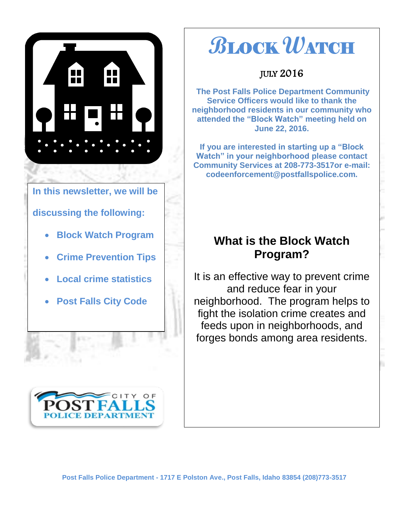

#### **In this newsletter, we will be**

#### **discussing the following:**

- **Block Watch Program**
- **Crime Prevention Tips**
- **Local crime statistics**
- **Post Falls City Code**



# **B**LOCK **W**ATCH

JULY 2016

**The Post Falls Police Department Community Service Officers would like to thank the neighborhood residents in our community who attended the "Block Watch" meeting held on June 22, 2016.** 

**If you are interested in starting up a "Block Watch" in your neighborhood please contact Community Services at 208-773-3517or e-mail: codeenforcement@postfallspolice.com.**

### **What is the Block Watch Program?**

It is an effective way to prevent crime and reduce fear in your neighborhood. The program helps to fight the isolation crime creates and feeds upon in neighborhoods, and forges bonds among area residents.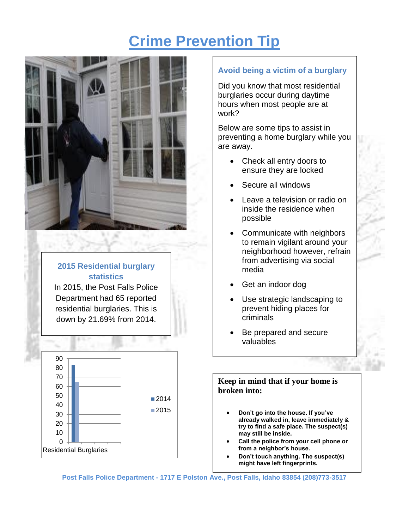## **Crime Prevention Tip**



#### **2015 Residential burglary statistics**

In 2015, the Post Falls Police Department had 65 reported residential burglaries. This is down by 21.69% from 2014.



#### **Avoid being a victim of a burglary**

Did you know that most residential burglaries occur during daytime hours when most people are at work?

Below are some tips to assist in preventing a home burglary while you are away.

- Check all entry doors to ensure they are locked
- Secure all windows
- Leave a television or radio on inside the residence when possible
- Communicate with neighbors to remain vigilant around your neighborhood however, refrain from advertising via social media
- Get an indoor dog
- Use strategic landscaping to prevent hiding places for criminals
- Be prepared and secure valuables

#### **Keep in mind that if your home is broken into:**

- **Don't go into the house. If you've already walked in, leave immediately & try to find a safe place. The suspect(s) may still be inside.**
- **Call the police from your cell phone or from a neighbor's house.**
- **Don't touch anything. The suspect(s) might have left fingerprints.**

**Post Falls Police Department - 1717 E Polston Ave., Post Falls, Idaho 83854 (208)773-3517**